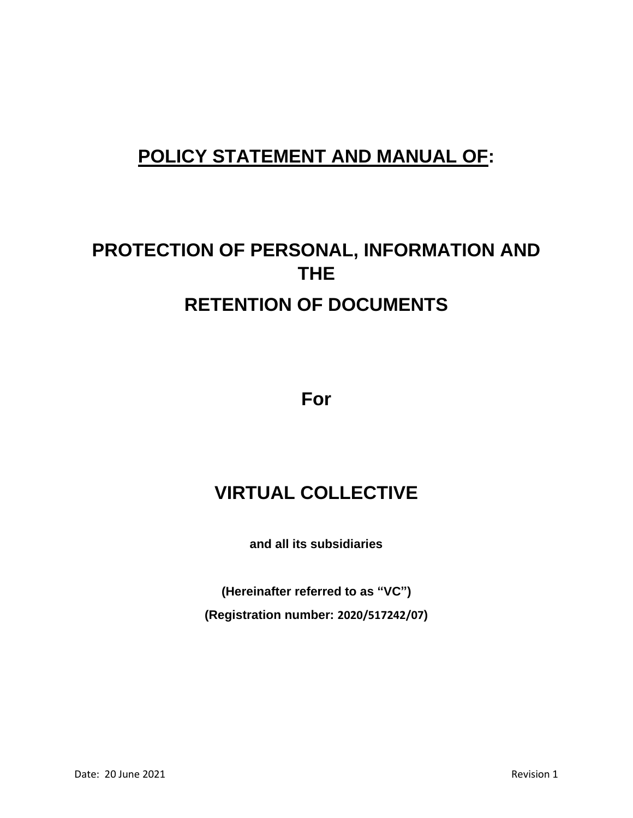# **POLICY STATEMENT AND MANUAL OF:**

# **PROTECTION OF PERSONAL, INFORMATION AND THE RETENTION OF DOCUMENTS**

**For**

# **VIRTUAL COLLECTIVE**

**and all its subsidiaries**

**(Hereinafter referred to as "VC") (Registration number: 2020/517242/07)**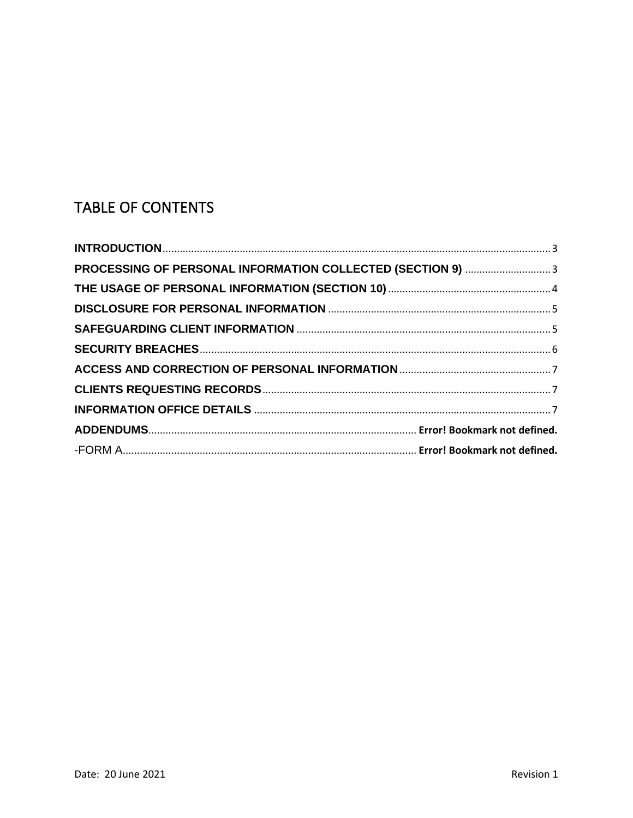# TABLE OF CONTENTS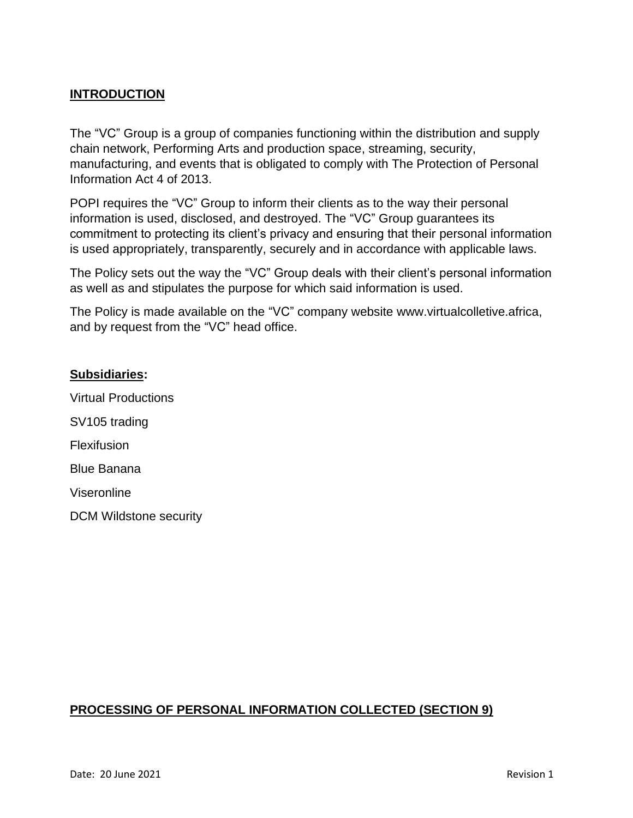### <span id="page-2-0"></span>**INTRODUCTION**

The "VC" Group is a group of companies functioning within the distribution and supply chain network, Performing Arts and production space, streaming, security, manufacturing, and events that is obligated to comply with The Protection of Personal Information Act 4 of 2013.

POPI requires the "VC" Group to inform their clients as to the way their personal information is used, disclosed, and destroyed. The "VC" Group guarantees its commitment to protecting its client's privacy and ensuring that their personal information is used appropriately, transparently, securely and in accordance with applicable laws.

The Policy sets out the way the "VC" Group deals with their client's personal information as well as and stipulates the purpose for which said information is used.

The Policy is made available on the "VC" company website www.virtualcolletive.africa, and by request from the "VC" head office.

#### **Subsidiaries:**

Virtual Productions SV105 trading **Flexifusion** Blue Banana Viseronline DCM Wildstone security

#### <span id="page-2-1"></span>**PROCESSING OF PERSONAL INFORMATION COLLECTED (SECTION 9)**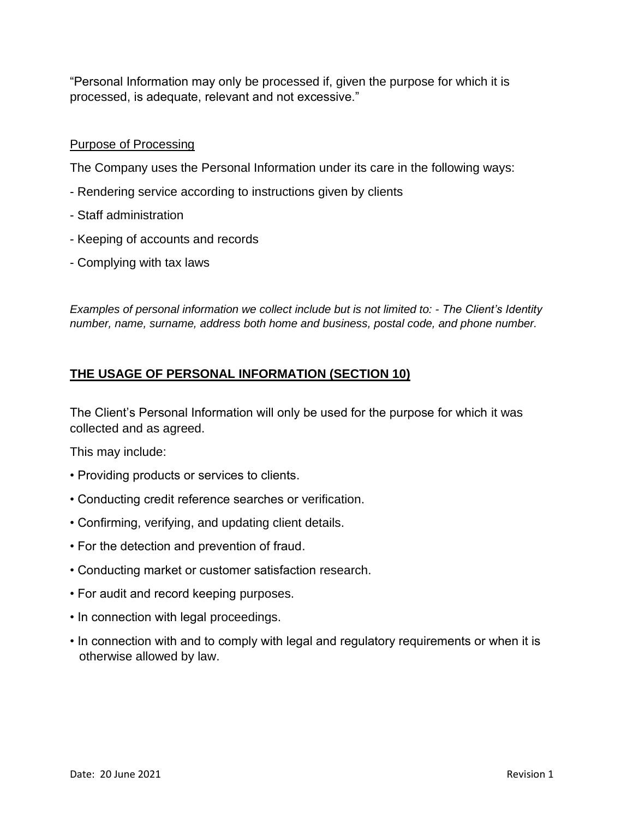"Personal Information may only be processed if, given the purpose for which it is processed, is adequate, relevant and not excessive."

#### Purpose of Processing

The Company uses the Personal Information under its care in the following ways:

- Rendering service according to instructions given by clients
- Staff administration
- Keeping of accounts and records
- Complying with tax laws

*Examples of personal information we collect include but is not limited to: - The Client's Identity number, name, surname, address both home and business, postal code, and phone number.*

# <span id="page-3-0"></span>**THE USAGE OF PERSONAL INFORMATION (SECTION 10)**

The Client's Personal Information will only be used for the purpose for which it was collected and as agreed.

This may include:

- Providing products or services to clients.
- Conducting credit reference searches or verification.
- Confirming, verifying, and updating client details.
- For the detection and prevention of fraud.
- Conducting market or customer satisfaction research.
- For audit and record keeping purposes.
- In connection with legal proceedings.
- In connection with and to comply with legal and regulatory requirements or when it is otherwise allowed by law.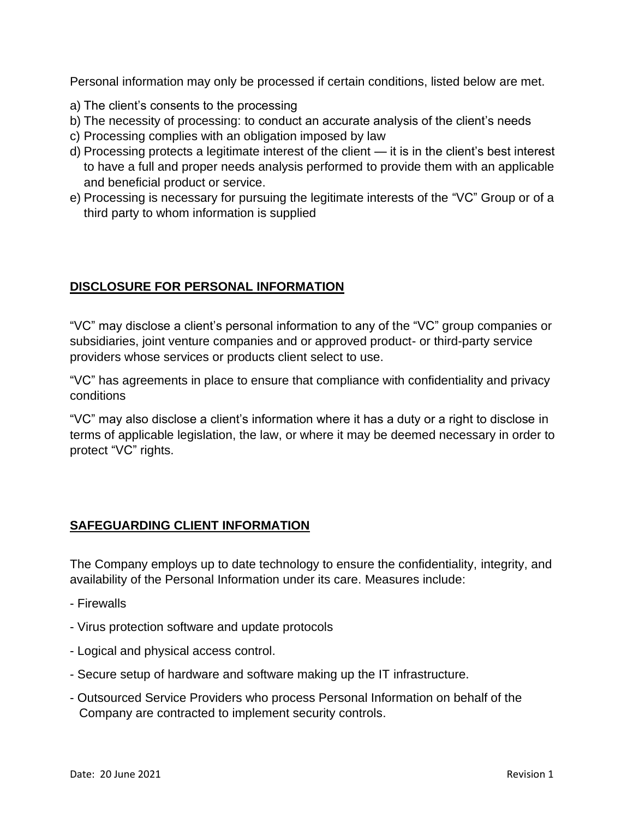Personal information may only be processed if certain conditions, listed below are met.

- a) The client's consents to the processing
- b) The necessity of processing: to conduct an accurate analysis of the client's needs
- c) Processing complies with an obligation imposed by law
- d) Processing protects a legitimate interest of the client it is in the client's best interest to have a full and proper needs analysis performed to provide them with an applicable and beneficial product or service.
- e) Processing is necessary for pursuing the legitimate interests of the "VC" Group or of a third party to whom information is supplied

### <span id="page-4-0"></span>**DISCLOSURE FOR PERSONAL INFORMATION**

"VC" may disclose a client's personal information to any of the "VC" group companies or subsidiaries, joint venture companies and or approved product- or third-party service providers whose services or products client select to use.

"VC" has agreements in place to ensure that compliance with confidentiality and privacy conditions

"VC" may also disclose a client's information where it has a duty or a right to disclose in terms of applicable legislation, the law, or where it may be deemed necessary in order to protect "VC" rights.

## <span id="page-4-1"></span>**SAFEGUARDING CLIENT INFORMATION**

The Company employs up to date technology to ensure the confidentiality, integrity, and availability of the Personal Information under its care. Measures include:

- Firewalls
- Virus protection software and update protocols
- Logical and physical access control.
- Secure setup of hardware and software making up the IT infrastructure.
- Outsourced Service Providers who process Personal Information on behalf of the Company are contracted to implement security controls.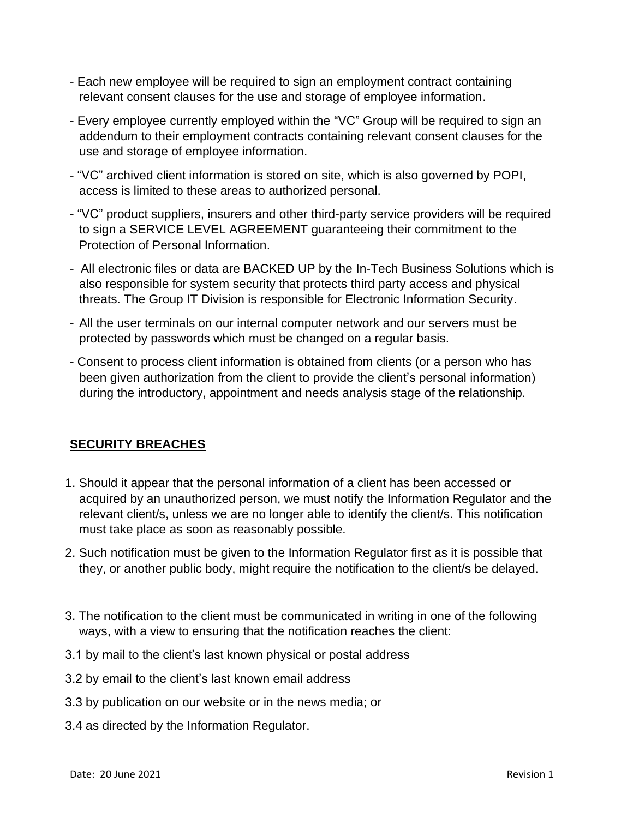- Each new employee will be required to sign an employment contract containing relevant consent clauses for the use and storage of employee information.
- Every employee currently employed within the "VC" Group will be required to sign an addendum to their employment contracts containing relevant consent clauses for the use and storage of employee information.
- "VC" archived client information is stored on site, which is also governed by POPI, access is limited to these areas to authorized personal.
- "VC" product suppliers, insurers and other third-party service providers will be required to sign a SERVICE LEVEL AGREEMENT guaranteeing their commitment to the Protection of Personal Information.
- All electronic files or data are BACKED UP by the In-Tech Business Solutions which is also responsible for system security that protects third party access and physical threats. The Group IT Division is responsible for Electronic Information Security.
- All the user terminals on our internal computer network and our servers must be protected by passwords which must be changed on a regular basis.
- Consent to process client information is obtained from clients (or a person who has been given authorization from the client to provide the client's personal information) during the introductory, appointment and needs analysis stage of the relationship.

# <span id="page-5-0"></span>**SECURITY BREACHES**

- 1. Should it appear that the personal information of a client has been accessed or acquired by an unauthorized person, we must notify the Information Regulator and the relevant client/s, unless we are no longer able to identify the client/s. This notification must take place as soon as reasonably possible.
- 2. Such notification must be given to the Information Regulator first as it is possible that they, or another public body, might require the notification to the client/s be delayed.
- 3. The notification to the client must be communicated in writing in one of the following ways, with a view to ensuring that the notification reaches the client:
- 3.1 by mail to the client's last known physical or postal address
- 3.2 by email to the client's last known email address
- 3.3 by publication on our website or in the news media; or
- 3.4 as directed by the Information Regulator.